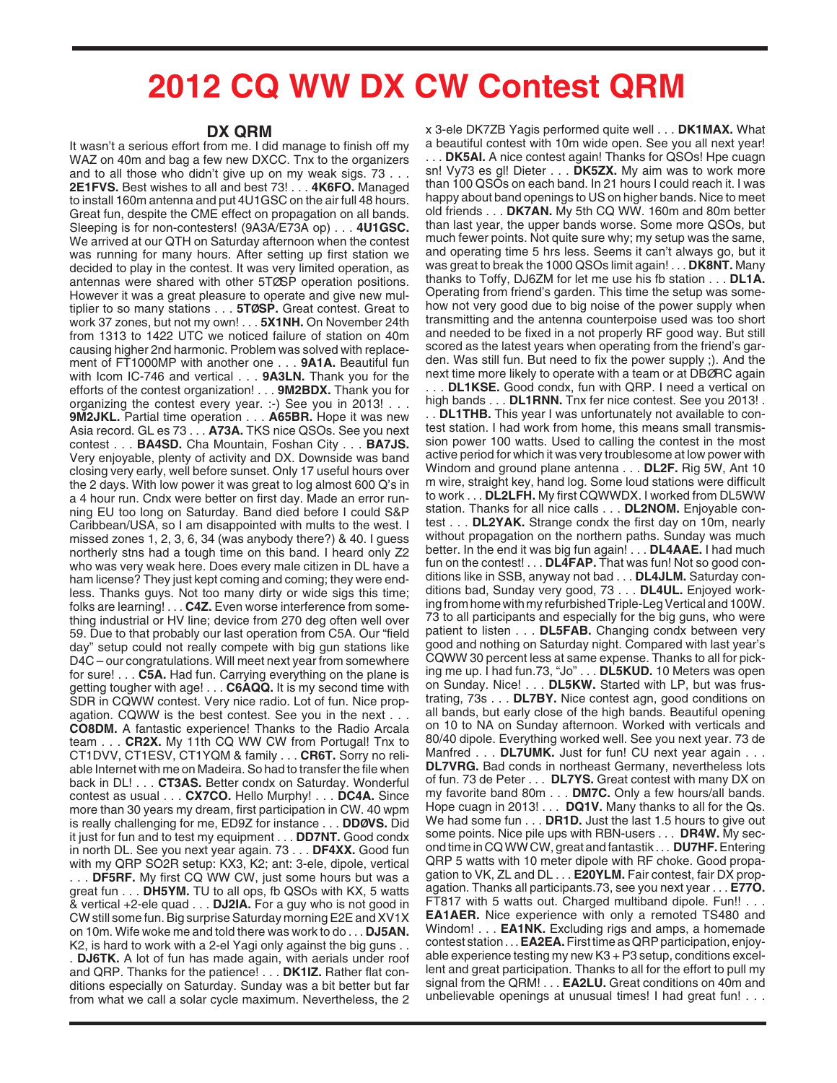## **2012 CQ WW DX CW Contest QRM**

## **DX QRM**

It wasn't a serious effort from me. I did manage to finish off my WAZ on 40m and bag a few new DXCC. Tnx to the organizers and to all those who didn't give up on my weak sigs. 73 . . . **2E1FVS.** Best wishes to all and best 73! . . . **4K6FO.** Managed to install 160m antenna and put 4U1GSC on the air full 48 hours. Great fun, despite the CME effect on propagation on all bands. Sleeping is for non-contesters! (9A3A/E73A op) . . . **4U1GSC.** We arrived at our QTH on Saturday afternoon when the contest was running for many hours. After setting up first station we decided to play in the contest. It was very limited operation, as antennas were shared with other 5TØSP operation positions. However it was a great pleasure to operate and give new multiplier to so many stations . . . **5TØSP.** Great contest. Great to work 37 zones, but not my own! . . . **5X1NH.** On November 24th from 1313 to 1422 UTC we noticed failure of station on 40m causing higher 2nd harmonic. Problem was solved with replacement of FT1000MP with another one . . . **9A1A.** Beautiful fun with Icom IC-746 and vertical . . . **9A3LN.** Thank you for the efforts of the contest organization! . . . **9M2BDX.** Thank you for organizing the contest every year. :-) See you in 2013! . . . **9M2JKL.** Partial time operation . . . **A65BR.** Hope it was new Asia record. GL es 73 . . . **A73A.** TKS nice QSOs. See you next contest . . . **BA4SD.** Cha Mountain, Foshan City . . . **BA7JS.** Very enjoyable, plenty of activity and DX. Downside was band closing very early, well before sunset. Only 17 useful hours over the 2 days. With low power it was great to log almost 600 Q's in a 4 hour run. Cndx were better on first day. Made an error running EU too long on Saturday. Band died before I could S&P Caribbean/USA, so I am disappointed with mults to the west. I missed zones 1, 2, 3, 6, 34 (was anybody there?) & 40. I guess northerly stns had a tough time on this band. I heard only Z2 who was very weak here. Does every male citizen in DL have a ham license? They just kept coming and coming; they were endless. Thanks guys. Not too many dirty or wide sigs this time; folks are learning! . . . **C4Z.** Even worse interference from something industrial or HV line; device from 270 deg often well over 59. Due to that probably our last operation from C5A. Our "field day" setup could not really compete with big gun stations like D4C – our congratulations. Will meet next year from somewhere for sure! . . . **C5A.** Had fun. Carrying everything on the plane is getting tougher with age! . . . **C6AQQ.** It is my second time with SDR in CQWW contest. Very nice radio. Lot of fun. Nice propagation. CQWW is the best contest. See you in the next . . . **CO8DM.** A fantastic experience! Thanks to the Radio Arcala team . . . **CR2X.** My 11th CQ WW CW from Portugal! Tnx to CT1DVV, CT1ESV, CT1YQM & family . . . **CR6T.** Sorry no reliable Internet with me on Madeira. So had to transfer the file when back in DL! . . . **CT3AS.** Better condx on Saturday. Wonderful contest as usual . . . **CX7CO.** Hello Murphy! . . . **DC4A.** Since more than 30 years my dream, first participation in CW. 40 wpm is really challenging for me, ED9Z for instance . . . **DDØVS.** Did it just for fun and to test my equipment . . . **DD7NT.** Good condx in north DL. See you next year again. 73 . . . **DF4XX.** Good fun with my QRP SO2R setup: KX3, K2; ant: 3-ele, dipole, vertical

. . . **DF5RF.** My first CQ WW CW, just some hours but was a great fun . . . **DH5YM.** TU to all ops, fb QSOs with KX, 5 watts & vertical +2-ele quad . . . **DJ2IA.** For a guy who is not good in CW still some fun. Big surprise Saturday morning E2E and XV1X on 10m. Wife woke me and told there was work to do . . . **DJ5AN.** K2, is hard to work with a 2-el Yagi only against the big guns . .

. **DJ6TK.** A lot of fun has made again, with aerials under roof and QRP. Thanks for the patience! . . . **DK1IZ.** Rather flat conditions especially on Saturday. Sunday was a bit better but far from what we call a solar cycle maximum. Nevertheless, the 2 x 3-ele DK7ZB Yagis performed quite well . . . **DK1MAX.** What a beautiful contest with 10m wide open. See you all next year! . . . **DK5AI.** A nice contest again! Thanks for QSOs! Hpe cuagn sn! Vy73 es gl! Dieter . . . **DK5ZX.** My aim was to work more than 100 QSOs on each band. In 21 hours I could reach it. I was happy about band openings to US on higher bands. Nice to meet old friends . . . **DK7AN.** My 5th CQ WW. 160m and 80m better than last year, the upper bands worse. Some more QSOs, but much fewer points. Not quite sure why; my setup was the same, and operating time 5 hrs less. Seems it can't always go, but it was great to break the 1000 QSOs limit again! . . . **DK8NT.** Many thanks to Toffy, DJ6ZM for let me use his fb station . . . **DL1A.** Operating from friend's garden. This time the setup was somehow not very good due to big noise of the power supply when transmitting and the antenna counterpoise used was too short and needed to be fixed in a not properly RF good way. But still scored as the latest years when operating from the friend's garden. Was still fun. But need to fix the power supply ;). And the next time more likely to operate with a team or at DBØRC again . DL1KSE. Good condx, fun with QRP. I need a vertical on high bands . . . **DL1RNN.** Tnx fer nice contest. See you 2013! .

. . **DL1THB.** This year I was unfortunately not available to contest station. I had work from home, this means small transmission power 100 watts. Used to calling the contest in the most active period for which it was very troublesome at low power with Windom and ground plane antenna . . . **DL2F.** Rig 5W, Ant 10 m wire, straight key, hand log. Some loud stations were difficult to work . . . **DL2LFH.** My first CQWWDX. I worked from DL5WW station. Thanks for all nice calls . . . **DL2NOM.** Enjoyable contest . . . **DL2YAK.** Strange condx the first day on 10m, nearly without propagation on the northern paths. Sunday was much better. In the end it was big fun again! . . . **DL4AAE.** I had much fun on the contest! . . . **DL4FAP.** That was fun! Not so good conditions like in SSB, anyway not bad . . . **DL4JLM.** Saturday conditions bad, Sunday very good, 73 . . . **DL4UL.** Enjoyed working from home with my refurbished Triple-Leg Vertical and 100W. 73 to all participants and especially for the big guns, who were patient to listen . . . **DL5FAB.** Changing condx between very good and nothing on Saturday night. Compared with last year's CQWW 30 percent less at same expense. Thanks to all for picking me up. I had fun.73, "Jo" . . . **DL5KUD.** 10 Meters was open on Sunday. Nice! . . . **DL5KW.** Started with LP, but was frustrating, 73s . . . **DL7BY.** Nice contest agn, good conditions on all bands, but early close of the high bands. Beautiful opening on 10 to NA on Sunday afternoon. Worked with verticals and 80/40 dipole. Everything worked well. See you next year. 73 de Manfred . . . **DL7UMK.** Just for fun! CU next year again . . . **DL7VRG.** Bad conds in northeast Germany, nevertheless lots of fun. 73 de Peter . . . **DL7YS.** Great contest with many DX on my favorite band 80m . . . **DM7C.** Only a few hours/all bands. Hope cuagn in 2013! . . . **DQ1V.** Many thanks to all for the Qs. We had some fun . . . **DR1D.** Just the last 1.5 hours to give out some points. Nice pile ups with RBN-users . . . **DR4W.** My second time in CQ WW CW, great and fantastik . . . **DU7HF.**Entering QRP 5 watts with 10 meter dipole with RF choke. Good propagation to VK, ZL and DL . . . **E20YLM.** Fair contest, fair DX propagation. Thanks all participants.73, see you next year . . . **E77O.** FT817 with 5 watts out. Charged multiband dipole. Fun!! . . . **EA1AER.** Nice experience with only a remoted TS480 and Windom! . . . **EA1NK.** Excluding rigs and amps, a homemade contest station . . . **EA2EA.**First time as QRP participation, enjoyable experience testing my new K3 + P3 setup, conditions excellent and great participation. Thanks to all for the effort to pull my signal from the QRM! . . . **EA2LU.** Great conditions on 40m and unbelievable openings at unusual times! I had great fun! . . .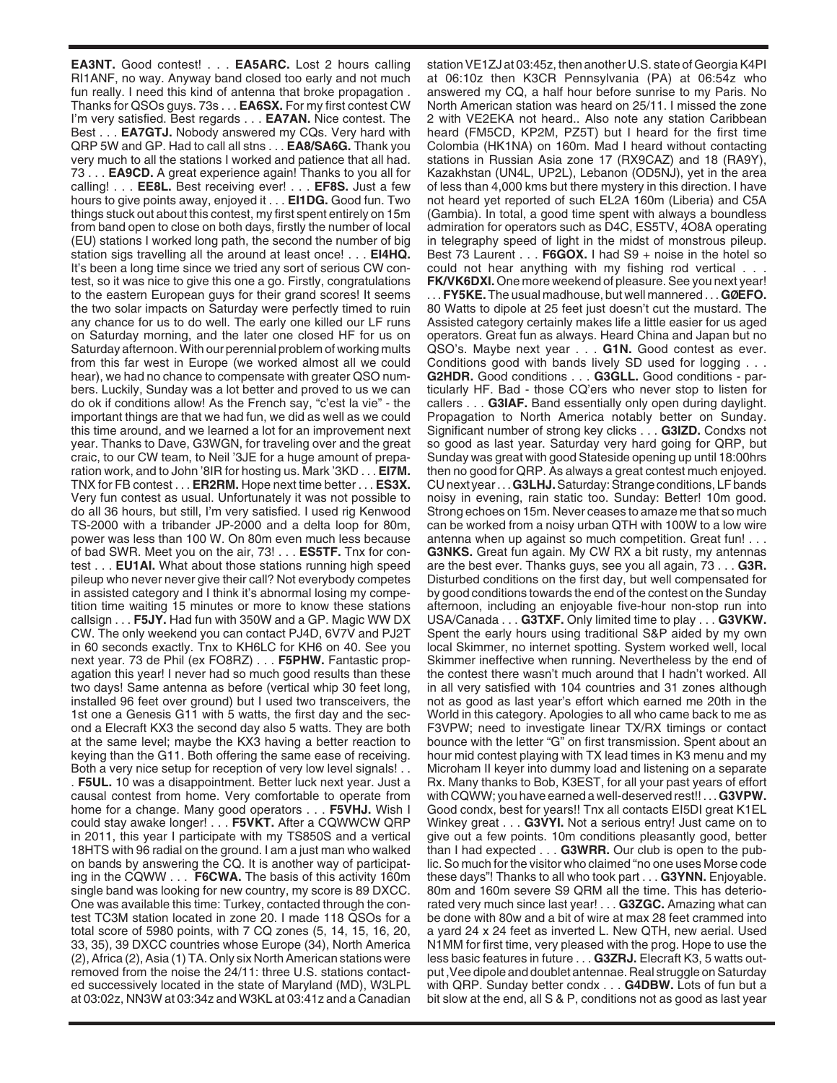**EA3NT.** Good contest! . . . **EA5ARC.** Lost 2 hours calling RI1ANF, no way. Anyway band closed too early and not much fun really. I need this kind of antenna that broke propagation . Thanks for QSOs guys. 73s . . . **EA6SX.** For my first contest CW I'm very satisfied. Best regards . . . **EA7AN.** Nice contest. The Best . . . **EA7GTJ.** Nobody answered my CQs. Very hard with QRP 5W and GP. Had to call all stns . . . **EA8/SA6G.** Thank you very much to all the stations I worked and patience that all had. 73 . . . **EA9CD.** A great experience again! Thanks to you all for calling! . . . **EE8L.** Best receiving ever! . . . **EF8S.** Just a few hours to give points away, enjoyed it . . . **EI1DG.** Good fun. Two things stuck out about this contest, my first spent entirely on 15m from band open to close on both days, firstly the number of local (EU) stations I worked long path, the second the number of big station sigs travelling all the around at least once! . . . **EI4HQ.** It's been a long time since we tried any sort of serious CW contest, so it was nice to give this one a go. Firstly, congratulations to the eastern European guys for their grand scores! It seems the two solar impacts on Saturday were perfectly timed to ruin any chance for us to do well. The early one killed our LF runs on Saturday morning, and the later one closed HF for us on Saturday afternoon. With our perennial problem of working mults from this far west in Europe (we worked almost all we could hear), we had no chance to compensate with greater QSO numbers. Luckily, Sunday was a lot better and proved to us we can do ok if conditions allow! As the French say, "c'est la vie" - the important things are that we had fun, we did as well as we could this time around, and we learned a lot for an improvement next year. Thanks to Dave, G3WGN, for traveling over and the great craic, to our CW team, to Neil '3JE for a huge amount of preparation work, and to John '8IR for hosting us. Mark '3KD . . . **EI7M.** TNX for FB contest . . . **ER2RM.** Hope next time better . . . **ES3X.** Very fun contest as usual. Unfortunately it was not possible to do all 36 hours, but still, I'm very satisfied. I used rig Kenwood TS-2000 with a tribander JP-2000 and a delta loop for 80m, power was less than 100 W. On 80m even much less because of bad SWR. Meet you on the air, 73! . . . **ES5TF.** Tnx for contest . . . **EU1AI.** What about those stations running high speed pileup who never never give their call? Not everybody competes in assisted category and I think it's abnormal losing my competition time waiting 15 minutes or more to know these stations callsign . . . **F5JY.** Had fun with 350W and a GP. Magic WW DX CW. The only weekend you can contact PJ4D, 6V7V and PJ2T in 60 seconds exactly. Tnx to KH6LC for KH6 on 40. See you next year. 73 de Phil (ex FO8RZ) . . . **F5PHW.** Fantastic propagation this year! I never had so much good results than these two days! Same antenna as before (vertical whip 30 feet long, installed 96 feet over ground) but I used two transceivers, the 1st one a Genesis G11 with 5 watts, the first day and the second a Elecraft KX3 the second day also 5 watts. They are both at the same level; maybe the KX3 having a better reaction to keying than the G11. Both offering the same ease of receiving. Both a very nice setup for reception of very low level signals! . . . **F5UL.** 10 was a disappointment. Better luck next year. Just a causal contest from home. Very comfortable to operate from home for a change. Many good operators . . . **F5VHJ.** Wish I could stay awake longer! . . . **F5VKT.** After a CQWWCW QRP in 2011, this year I participate with my TS850S and a vertical 18HTS with 96 radial on the ground. I am a just man who walked on bands by answering the CQ. It is another way of participating in the CQWW . . . **F6CWA.** The basis of this activity 160m single band was looking for new country, my score is 89 DXCC. One was available this time: Turkey, contacted through the contest TC3M station located in zone 20. I made 118 QSOs for a total score of 5980 points, with 7 CQ zones (5, 14, 15, 16, 20, 33, 35), 39 DXCC countries whose Europe (34), North America (2), Africa (2), Asia (1) TA. Only six North American stations were removed from the noise the 24/11: three U.S. stations contacted successively located in the state of Maryland (MD), W3LPL at 03:02z, NN3W at 03:34z and W3KL at 03:41z and a Canadian

station VE1ZJ at 03:45z, then another U.S. state of Georgia K4PI at 06:10z then K3CR Pennsylvania (PA) at 06:54z who answered my CQ, a half hour before sunrise to my Paris. No North American station was heard on 25/11. I missed the zone 2 with VE2EKA not heard.. Also note any station Caribbean heard (FM5CD, KP2M, PZ5T) but I heard for the first time Colombia (HK1NA) on 160m. Mad I heard without contacting stations in Russian Asia zone 17 (RX9CAZ) and 18 (RA9Y), Kazakhstan (UN4L, UP2L), Lebanon (OD5NJ), yet in the area of less than 4,000 kms but there mystery in this direction. I have not heard yet reported of such EL2A 160m (Liberia) and C5A (Gambia). In total, a good time spent with always a boundless admiration for operators such as D4C, ES5TV, 4O8A operating in telegraphy speed of light in the midst of monstrous pileup. Best 73 Laurent . . . **F6GOX.** I had S9 + noise in the hotel so could not hear anything with my fishing rod vertical . . .

**FK/VK6DXI.** One more weekend of pleasure. See you next year! . . . **FY5KE.** The usual madhouse, but well mannered . . . **GØEFO.** 80 Watts to dipole at 25 feet just doesn't cut the mustard. The Assisted category certainly makes life a little easier for us aged operators. Great fun as always. Heard China and Japan but no QSO's. Maybe next year . . . **G1N.** Good contest as ever. Conditions good with bands lively SD used for logging . . . **G2HDR.** Good conditions . . . **G3GLL.** Good conditions - particularly HF. Bad - those CQ'ers who never stop to listen for callers . . . **G3IAF.** Band essentially only open during daylight. Propagation to North America notably better on Sunday. Significant number of strong key clicks . . . **G3IZD.** Condxs not so good as last year. Saturday very hard going for QRP, but Sunday was great with good Stateside opening up until 18:00hrs then no good for QRP. As always a great contest much enjoyed. CU next year . . . **G3LHJ.**Saturday: Strange conditions, LF bands noisy in evening, rain static too. Sunday: Better! 10m good. Strong echoes on 15m. Never ceases to amaze me that so much can be worked from a noisy urban QTH with 100W to a low wire antenna when up against so much competition. Great fun! . . . **G3NKS.** Great fun again. My CW RX a bit rusty, my antennas are the best ever. Thanks guys, see you all again, 73 . . . **G3R.** Disturbed conditions on the first day, but well compensated for by good conditions towards the end of the contest on the Sunday afternoon, including an enjoyable five-hour non-stop run into USA/Canada . . . **G3TXF.** Only limited time to play . . . **G3VKW.** Spent the early hours using traditional S&P aided by my own local Skimmer, no internet spotting. System worked well, local Skimmer ineffective when running. Nevertheless by the end of the contest there wasn't much around that I hadn't worked. All in all very satisfied with 104 countries and 31 zones although not as good as last year's effort which earned me 20th in the World in this category. Apologies to all who came back to me as F3VPW; need to investigate linear TX/RX timings or contact bounce with the letter "G" on first transmission. Spent about an hour mid contest playing with TX lead times in K3 menu and my Microham II keyer into dummy load and listening on a separate Rx. Many thanks to Bob, K3EST, for all your past years of effort with CQWW; you have earned a well-deserved rest!! . . . **G3VPW.** Good condx, best for years!! Tnx all contacts EI5DI great K1EL Winkey great . . . **G3VYI.** Not a serious entry! Just came on to give out a few points. 10m conditions pleasantly good, better than I had expected . . . **G3WRR.** Our club is open to the public. So much for the visitor who claimed "no one uses Morse code these days"! Thanks to all who took part . . . **G3YNN.** Enjoyable. 80m and 160m severe S9 QRM all the time. This has deteriorated very much since last year! . . . **G3ZGC.** Amazing what can be done with 80w and a bit of wire at max 28 feet crammed into a yard 24 x 24 feet as inverted L. New QTH, new aerial. Used N1MM for first time, very pleased with the prog. Hope to use the less basic features in future . . . **G3ZRJ.** Elecraft K3, 5 watts output ,Vee dipole and doublet antennae. Real struggle on Saturday with QRP. Sunday better condx . . . **G4DBW.** Lots of fun but a bit slow at the end, all S & P, conditions not as good as last year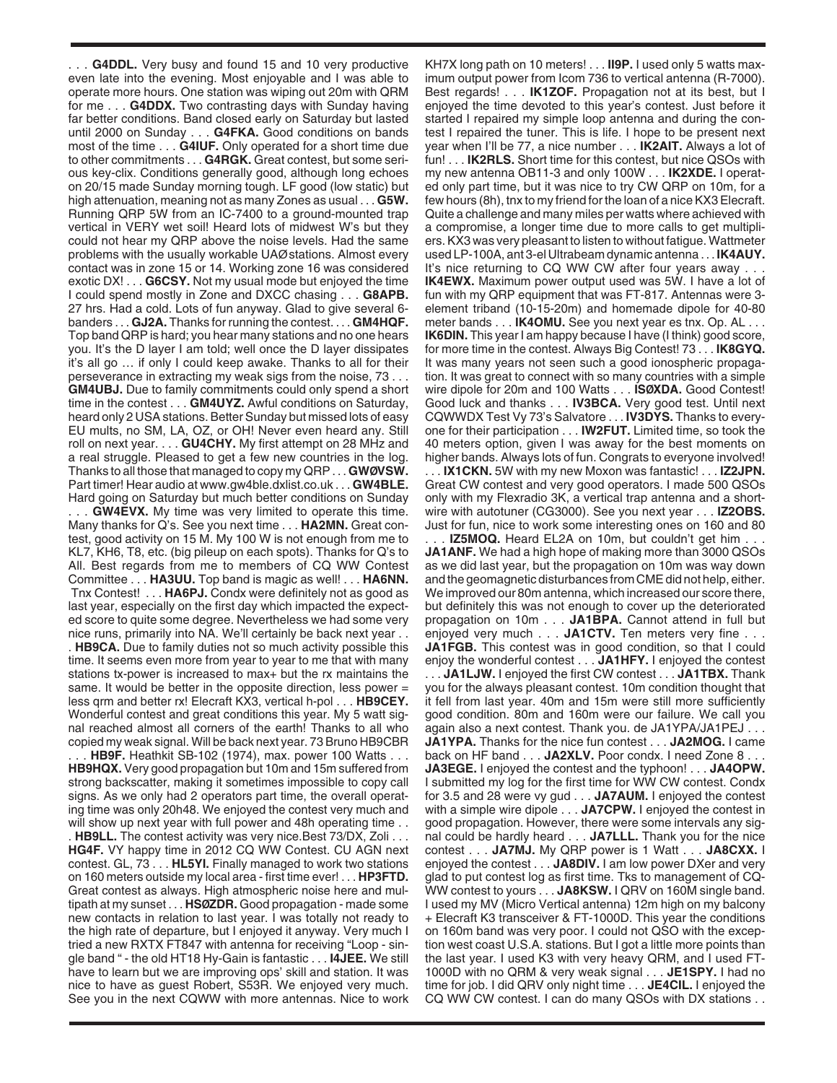. . . **G4DDL.** Very busy and found 15 and 10 very productive even late into the evening. Most enjoyable and I was able to operate more hours. One station was wiping out 20m with QRM for me . . . **G4DDX.** Two contrasting days with Sunday having far better conditions. Band closed early on Saturday but lasted until 2000 on Sunday . . . **G4FKA.** Good conditions on bands most of the time . . . **G4IUF.** Only operated for a short time due to other commitments . . . **G4RGK.** Great contest, but some serious key-clix. Conditions generally good, although long echoes on 20/15 made Sunday morning tough. LF good (low static) but high attenuation, meaning not as many Zones as usual . . . **G5W.** Running QRP 5W from an IC-7400 to a ground-mounted trap vertical in VERY wet soil! Heard lots of midwest W's but they could not hear my QRP above the noise levels. Had the same problems with the usually workable UAØ stations. Almost every contact was in zone 15 or 14. Working zone 16 was considered exotic DX! . . . **G6CSY.** Not my usual mode but enjoyed the time I could spend mostly in Zone and DXCC chasing . . . **G8APB.** 27 hrs. Had a cold. Lots of fun anyway. Glad to give several 6 banders . . . **GJ2A.** Thanks for running the contest. . . . **GM4HQF.** Top band QRP is hard; you hear many stations and no one hears you. It's the D layer I am told; well once the D layer dissipates it's all go … if only I could keep awake. Thanks to all for their perseverance in extracting my weak sigs from the noise, 73 . . . **GM4UBJ.** Due to family commitments could only spend a short time in the contest . . . **GM4UYZ.** Awful conditions on Saturday, heard only 2 USA stations. Better Sunday but missed lots of easy EU mults, no SM, LA, OZ, or OH! Never even heard any. Still roll on next year. . . . GU4CHY. My first attempt on 28 MHz and a real struggle. Pleased to get a few new countries in the log. Thanks to all those that managed to copy my QRP . . . **GWØVSW.** Part timer! Hear audio at www.gw4ble.dxlist.co.uk . . . **GW4BLE.** Hard going on Saturday but much better conditions on Sunday . . . **GW4EVX.** My time was very limited to operate this time. Many thanks for Q's. See you next time . . . **HA2MN.** Great contest, good activity on 15 M. My 100 W is not enough from me to KL7, KH6, T8, etc. (big pileup on each spots). Thanks for Q's to All. Best regards from me to members of CQ WW Contest Committee . . . **HA3UU.** Top band is magic as well! . . . **HA6NN.** Tnx Contest! . . . **HA6PJ.** Condx were definitely not as good as last year, especially on the first day which impacted the expected score to quite some degree. Nevertheless we had some very nice runs, primarily into NA. We'll certainly be back next year . . . **HB9CA.** Due to family duties not so much activity possible this time. It seems even more from year to year to me that with many stations tx-power is increased to max+ but the rx maintains the same. It would be better in the opposite direction, less power = less qrm and better rx! Elecraft KX3, vertical h-pol . . . **HB9CEY.** Wonderful contest and great conditions this year. My 5 watt signal reached almost all corners of the earth! Thanks to all who copied my weak signal. Will be back next year. 73 Bruno HB9CBR . . . **HB9F.** Heathkit SB-102 (1974), max. power 100 Watts . . . **HB9HQX.** Very good propagation but 10m and 15m suffered from strong backscatter, making it sometimes impossible to copy call signs. As we only had 2 operators part time, the overall operating time was only 20h48. We enjoyed the contest very much and will show up next year with full power and 48h operating time ... . **HB9LL.** The contest activity was very nice.Best 73/DX, Zoli . . . **HG4F.** VY happy time in 2012 CQ WW Contest. CU AGN next contest. GL, 73 . . . **HL5YI.** Finally managed to work two stations on 160 meters outside my local area - first time ever! . . . **HP3FTD.** Great contest as always. High atmospheric noise here and multipath at my sunset . . . **HSØZDR.** Good propagation - made some new contacts in relation to last year. I was totally not ready to the high rate of departure, but I enjoyed it anyway. Very much I tried a new RXTX FT847 with antenna for receiving "Loop - single band " - the old HT18 Hy-Gain is fantastic . . . **I4JEE.** We still have to learn but we are improving ops' skill and station. It was nice to have as guest Robert, S53R. We enjoyed very much. See you in the next CQWW with more antennas. Nice to work

KH7X long path on 10 meters! . . . **II9P.** I used only 5 watts maximum output power from Icom 736 to vertical antenna (R-7000). Best regards! . . . **IK1ZOF.** Propagation not at its best, but I enjoyed the time devoted to this year's contest. Just before it started I repaired my simple loop antenna and during the contest I repaired the tuner. This is life. I hope to be present next year when I'll be 77, a nice number . . . **IK2AIT.** Always a lot of fun! . . . **IK2RLS.** Short time for this contest, but nice QSOs with my new antenna OB11-3 and only 100W . . . **IK2XDE.** I operated only part time, but it was nice to try CW QRP on 10m, for a few hours (8h), tnx to my friend for the loan of a nice KX3 Elecraft. Quite a challenge and many miles per watts where achieved with a compromise, a longer time due to more calls to get multipliers. KX3 was very pleasant to listen to without fatigue. Wattmeter used LP-100A, ant 3-el Ultrabeam dynamic antenna . . . **IK4AUY.** It's nice returning to CQ WW CW after four years away . . . **IK4EWX.** Maximum power output used was 5W. I have a lot of fun with my QRP equipment that was FT-817. Antennas were 3 element triband (10-15-20m) and homemade dipole for 40-80 meter bands . . . **IK4OMU.** See you next year es tnx. Op. AL . . . **IK6DIN.** This year I am happy because I have (I think) good score, for more time in the contest. Always Big Contest! 73 . . . **IK8GYQ.** It was many years not seen such a good ionospheric propagation. It was great to connect with so many countries with a simple wire dipole for 20m and 100 Watts . . . **ISØXDA.** Good Contest! Good luck and thanks . . . **IV3BCA.** Very good test. Until next CQWWDX Test Vy 73's Salvatore . . . **IV3DYS.** Thanks to everyone for their participation . . . **IW2FUT.** Limited time, so took the 40 meters option, given I was away for the best moments on higher bands. Always lots of fun. Congrats to everyone involved!

. . . **IX1CKN.** 5W with my new Moxon was fantastic! . . . **IZ2JPN.** Great CW contest and very good operators. I made 500 QSOs only with my Flexradio 3K, a vertical trap antenna and a shortwire with autotuner (CG3000). See you next year . . . **IZ2OBS.** Just for fun, nice to work some interesting ones on 160 and 80

. . . **IZ5MOQ.** Heard EL2A on 10m, but couldn't get him . . . **JA1ANF.** We had a high hope of making more than 3000 QSOs as we did last year, but the propagation on 10m was way down and the geomagnetic disturbances from CME did not help, either. We improved our 80m antenna, which increased our score there, but definitely this was not enough to cover up the deteriorated propagation on 10m . . . **JA1BPA.** Cannot attend in full but enjoyed very much . . . JA1CTV. Ten meters very fine . **JA1FGB.** This contest was in good condition, so that I could enjoy the wonderful contest . . . **JA1HFY.** I enjoyed the contest . . . **JA1LJW.** I enjoyed the first CW contest . . . **JA1TBX.** Thank you for the always pleasant contest. 10m condition thought that it fell from last year. 40m and 15m were still more sufficiently good condition. 80m and 160m were our failure. We call you again also a next contest. Thank you. de JA1YPA/JA1PEJ . . . **JA1YPA.** Thanks for the nice fun contest . . . **JA2MOG.** I came back on HF band . . . **JA2XLV.** Poor condx. I need Zone 8 . . . **JA3EGE.** I enjoyed the contest and the typhoon! . . . **JA4OPW.** I submitted my log for the first time for WW CW contest. Condx for 3.5 and 28 were vy gud . . . **JA7AUM.** I enjoyed the contest with a simple wire dipole . . . **JA7CPW.** I enjoyed the contest in good propagation. However, there were some intervals any signal could be hardly heard . . . **JA7LLL.** Thank you for the nice contest . . . **JA7MJ.** My QRP power is 1 Watt . . . **JA8CXX.** I enjoyed the contest . . . **JA8DIV.** I am low power DXer and very glad to put contest log as first time. Tks to management of CQ-WW contest to yours . . . **JA8KSW.** I QRV on 160M single band. I used my MV (Micro Vertical antenna) 12m high on my balcony + Elecraft K3 transceiver & FT-1000D. This year the conditions on 160m band was very poor. I could not QSO with the exception west coast U.S.A. stations. But I got a little more points than the last year. I used K3 with very heavy QRM, and I used FT-1000D with no QRM & very weak signal . . . **JE1SPY.** I had no time for job. I did QRV only night time . . . **JE4CIL.** I enjoyed the CQ WW CW contest. I can do many QSOs with DX stations . .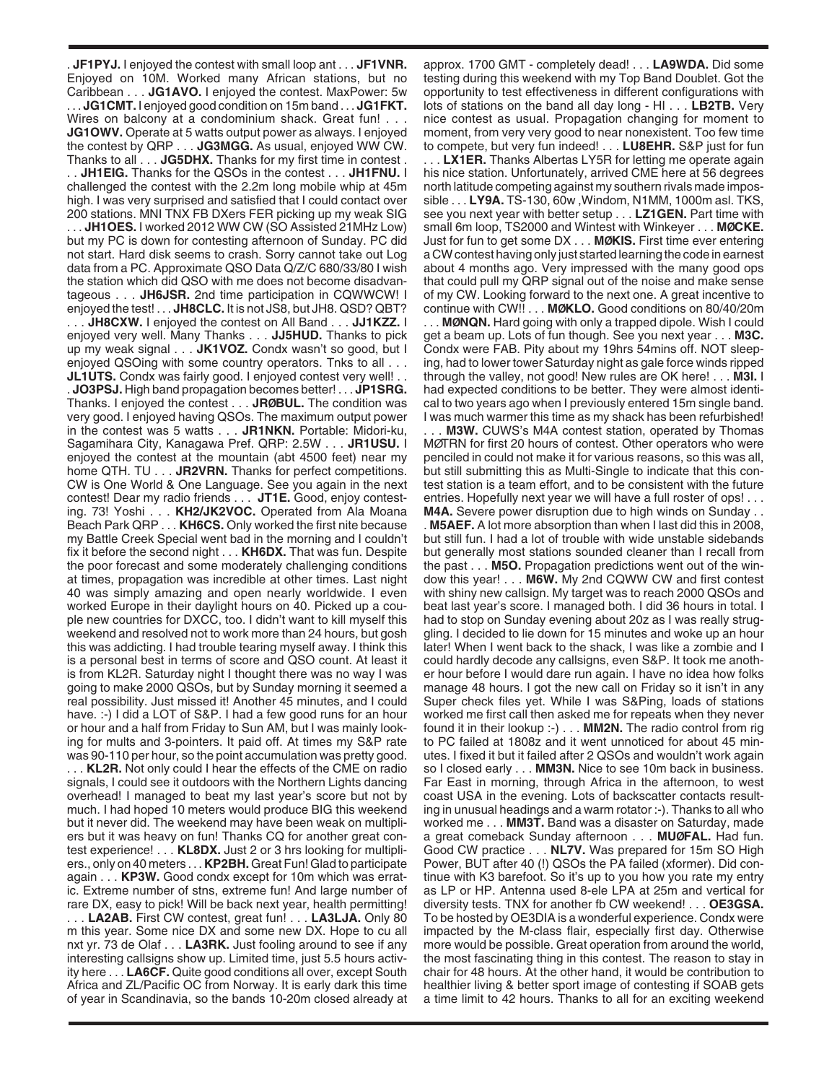. **JF1PYJ.** I enjoyed the contest with small loop ant . . . **JF1VNR.** Enjoyed on 10M. Worked many African stations, but no Caribbean . . . **JG1AVO.** I enjoyed the contest. MaxPower: 5w . . . **JG1CMT.** I enjoyed good condition on 15m band . . . **JG1FKT.** Wires on balcony at a condominium shack. Great fun! . . . **JG1OWV.** Operate at 5 watts output power as always. I enjoyed the contest by QRP . . . **JG3MGG.** As usual, enjoyed WW CW. Thanks to all . . . **JG5DHX.** Thanks for my first time in contest . . . **JH1EIG.** Thanks for the QSOs in the contest . . . **JH1FNU.** I challenged the contest with the 2.2m long mobile whip at 45m high. I was very surprised and satisfied that I could contact over 200 stations. MNI TNX FB DXers FER picking up my weak SIG . . . **JH1OES.** I worked 2012 WW CW (SO Assisted 21MHz Low) but my PC is down for contesting afternoon of Sunday. PC did not start. Hard disk seems to crash. Sorry cannot take out Log data from a PC. Approximate QSO Data Q/Z/C 680/33/80 I wish the station which did QSO with me does not become disadvantageous . . . **JH6JSR.** 2nd time participation in CQWWCW! I enjoyed the test! . . . **JH8CLC.** It is not JS8, but JH8. QSD? QBT? . . . **JH8CXW.** I enjoyed the contest on All Band . . . **JJ1KZZ.** I enjoyed very well. Many Thanks . . . **JJ5HUD.** Thanks to pick up my weak signal . . . **JK1VOZ.** Condx wasn't so good, but I enjoyed QSOing with some country operators. Tnks to all . . . **JL1UTS.** Condx was fairly good. I enjoyed contest very well! . . . **JO3PSJ.** High band propagation becomes better! . . . **JP1SRG.** Thanks. I enjoyed the contest . . . **JRØBUL.** The condition was very good. I enjoyed having QSOs. The maximum output power in the contest was 5 watts . . . **JR1NKN.** Portable: Midori-ku, Sagamihara City, Kanagawa Pref. QRP: 2.5W . . . **JR1USU.** I enjoyed the contest at the mountain (abt 4500 feet) near my home QTH. TU . . . **JR2VRN.** Thanks for perfect competitions. CW is One World & One Language. See you again in the next contest! Dear my radio friends . . . **JT1E.** Good, enjoy contesting. 73! Yoshi . . . **KH2/JK2VOC.** Operated from Ala Moana Beach Park QRP . . . **KH6CS.** Only worked the first nite because my Battle Creek Special went bad in the morning and I couldn't fix it before the second night . . . **KH6DX.** That was fun. Despite the poor forecast and some moderately challenging conditions at times, propagation was incredible at other times. Last night 40 was simply amazing and open nearly worldwide. I even worked Europe in their daylight hours on 40. Picked up a couple new countries for DXCC, too. I didn't want to kill myself this weekend and resolved not to work more than 24 hours, but gosh this was addicting. I had trouble tearing myself away. I think this is a personal best in terms of score and QSO count. At least it is from KL2R. Saturday night I thought there was no way I was going to make 2000 QSOs, but by Sunday morning it seemed a real possibility. Just missed it! Another 45 minutes, and I could have. :-) I did a LOT of S&P. I had a few good runs for an hour or hour and a half from Friday to Sun AM, but I was mainly looking for mults and 3-pointers. It paid off. At times my S&P rate was 90-110 per hour, so the point accumulation was pretty good. . . . **KL2R.** Not only could I hear the effects of the CME on radio signals, I could see it outdoors with the Northern Lights dancing overhead! I managed to beat my last year's score but not by much. I had hoped 10 meters would produce BIG this weekend but it never did. The weekend may have been weak on multipliers but it was heavy on fun! Thanks CQ for another great contest experience! . . . **KL8DX.** Just 2 or 3 hrs looking for multipliers., only on 40 meters . . . **KP2BH.** Great Fun! Glad to participate again . . . **KP3W.** Good condx except for 10m which was erratic. Extreme number of stns, extreme fun! And large number of rare DX, easy to pick! Will be back next year, health permitting! . . . **LA2AB.** First CW contest, great fun! . . . **LA3LJA.** Only 80

m this year. Some nice DX and some new DX. Hope to cu all nxt yr. 73 de Olaf . . . **LA3RK.** Just fooling around to see if any interesting callsigns show up. Limited time, just 5.5 hours activity here . . . **LA6CF.** Quite good conditions all over, except South Africa and ZL/Pacific OC from Norway. It is early dark this time of year in Scandinavia, so the bands 10-20m closed already at approx. 1700 GMT - completely dead! . . . **LA9WDA.** Did some testing during this weekend with my Top Band Doublet. Got the opportunity to test effectiveness in different configurations with lots of stations on the band all day long - HI . . . **LB2TB.** Very nice contest as usual. Propagation changing for moment to moment, from very very good to near nonexistent. Too few time to compete, but very fun indeed! . . . **LU8EHR.** S&P just for fun

. . . **LX1ER.** Thanks Albertas LY5R for letting me operate again his nice station. Unfortunately, arrived CME here at 56 degrees north latitude competing against my southern rivals made impossible . . . **LY9A.** TS-130, 60w ,Windom, N1MM, 1000m asl. TKS, see you next year with better setup . . . **LZ1GEN.** Part time with small 6m loop, TS2000 and Wintest with Winkeyer . . . **MØCKE.** Just for fun to get some DX . . . **MØKIS.** First time ever entering a CW contest having only just started learning the code in earnest about 4 months ago. Very impressed with the many good ops that could pull my QRP signal out of the noise and make sense of my CW. Looking forward to the next one. A great incentive to continue with CW!! . . . **MØKLO.** Good conditions on 80/40/20m . . . **MØNQN.** Hard going with only a trapped dipole. Wish I could get a beam up. Lots of fun though. See you next year . . . **M3C.** Condx were FAB. Pity about my 19hrs 54mins off. NOT sleeping, had to lower tower Saturday night as gale force winds ripped through the valley, not good! New rules are OK here! . . . **M3I.** I had expected conditions to be better. They were almost identical to two years ago when I previously entered 15m single band. I was much warmer this time as my shack has been refurbished!

**M3W.** CUWS's M4A contest station, operated by Thomas MØTRN for first 20 hours of contest. Other operators who were penciled in could not make it for various reasons, so this was all, but still submitting this as Multi-Single to indicate that this contest station is a team effort, and to be consistent with the future entries. Hopefully next year we will have a full roster of ops! . . . **M4A.** Severe power disruption due to high winds on Sunday . .

. **M5AEF.** A lot more absorption than when I last did this in 2008, but still fun. I had a lot of trouble with wide unstable sidebands but generally most stations sounded cleaner than I recall from the past . . . **M5O.** Propagation predictions went out of the window this year! . . . **M6W.** My 2nd CQWW CW and first contest with shiny new callsign. My target was to reach 2000 QSOs and beat last year's score. I managed both. I did 36 hours in total. I had to stop on Sunday evening about 20z as I was really struggling. I decided to lie down for 15 minutes and woke up an hour later! When I went back to the shack, I was like a zombie and I could hardly decode any callsigns, even S&P. It took me another hour before I would dare run again. I have no idea how folks manage 48 hours. I got the new call on Friday so it isn't in any Super check files yet. While I was S&Ping, loads of stations worked me first call then asked me for repeats when they never found it in their lookup :-) . . . **MM2N.** The radio control from rig to PC failed at 1808z and it went unnoticed for about 45 minutes. I fixed it but it failed after 2 QSOs and wouldn't work again so I closed early . . . **MM3N.** Nice to see 10m back in business. Far East in morning, through Africa in the afternoon, to west coast USA in the evening. Lots of backscatter contacts resulting in unusual headings and a warm rotator :-). Thanks to all who worked me . . . **MM3T.** Band was a disaster on Saturday, made a great comeback Sunday afternoon . . . **MUØFAL.** Had fun. Good CW practice . . . **NL7V.** Was prepared for 15m SO High Power, BUT after 40 (!) QSOs the PA failed (xformer). Did continue with K3 barefoot. So it's up to you how you rate my entry as LP or HP. Antenna used 8-ele LPA at 25m and vertical for diversity tests. TNX for another fb CW weekend! . . . **OE3GSA.** To be hosted by OE3DIA is a wonderful experience. Condx were impacted by the M-class flair, especially first day. Otherwise more would be possible. Great operation from around the world, the most fascinating thing in this contest. The reason to stay in chair for 48 hours. At the other hand, it would be contribution to healthier living & better sport image of contesting if SOAB gets a time limit to 42 hours. Thanks to all for an exciting weekend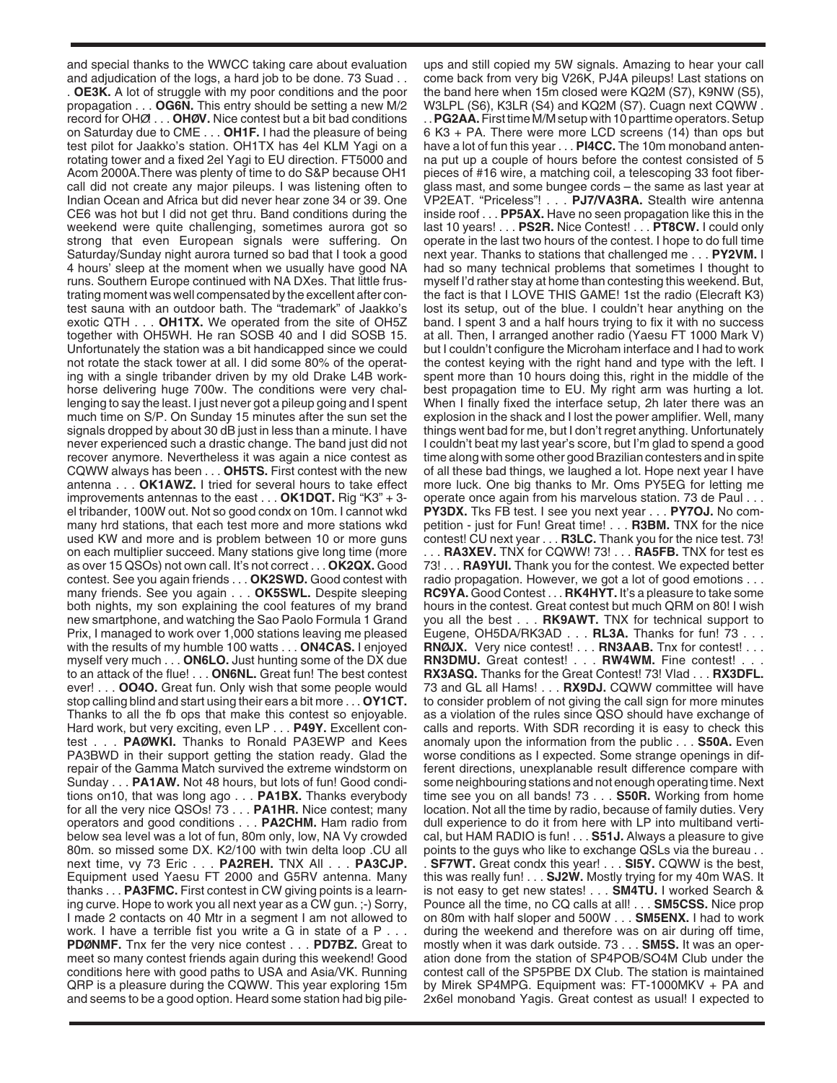and special thanks to the WWCC taking care about evaluation and adjudication of the logs, a hard job to be done. 73 Suad . . . **OE3K.** A lot of struggle with my poor conditions and the poor propagation . . . **OG6N.** This entry should be setting a new M/2 record for OHØ! . . . **OHØV.** Nice contest but a bit bad conditions on Saturday due to CME . . . **OH1F.** I had the pleasure of being test pilot for Jaakko's station. OH1TX has 4el KLM Yagi on a rotating tower and a fixed 2el Yagi to EU direction. FT5000 and Acom 2000A.There was plenty of time to do S&P because OH1 call did not create any major pileups. I was listening often to Indian Ocean and Africa but did never hear zone 34 or 39. One CE6 was hot but I did not get thru. Band conditions during the weekend were quite challenging, sometimes aurora got so strong that even European signals were suffering. On Saturday/Sunday night aurora turned so bad that I took a good 4 hours' sleep at the moment when we usually have good NA runs. Southern Europe continued with NA DXes. That little frustrating moment was well compensated by the excellent after contest sauna with an outdoor bath. The "trademark" of Jaakko's exotic QTH . . . **OH1TX.** We operated from the site of OH5Z together with OH5WH. He ran SOSB 40 and I did SOSB 15. Unfortunately the station was a bit handicapped since we could not rotate the stack tower at all. I did some 80% of the operating with a single tribander driven by my old Drake L4B workhorse delivering huge 700w. The conditions were very challenging to say the least. I just never got a pileup going and I spent much time on S/P. On Sunday 15 minutes after the sun set the signals dropped by about 30 dB just in less than a minute. I have never experienced such a drastic change. The band just did not recover anymore. Nevertheless it was again a nice contest as CQWW always has been . . . **OH5TS.** First contest with the new antenna . . . **OK1AWZ.** I tried for several hours to take effect improvements antennas to the east . . . **OK1DQT.** Rig "K3" + 3 el tribander, 100W out. Not so good condx on 10m. I cannot wkd many hrd stations, that each test more and more stations wkd used KW and more and is problem between 10 or more guns on each multiplier succeed. Many stations give long time (more as over 15 QSOs) not own call. It's not correct . . . **OK2QX.** Good contest. See you again friends . . . **OK2SWD.** Good contest with many friends. See you again . . . **OK5SWL.** Despite sleeping both nights, my son explaining the cool features of my brand new smartphone, and watching the Sao Paolo Formula 1 Grand Prix, I managed to work over 1,000 stations leaving me pleased with the results of my humble 100 watts . . . **ON4CAS.** I enjoyed myself very much . . . **ON6LO.** Just hunting some of the DX due to an attack of the flue! . . . **ON6NL.** Great fun! The best contest ever! . . . **OO4O.** Great fun. Only wish that some people would stop calling blind and start using their ears a bit more . . . **OY1CT.** Thanks to all the fb ops that make this contest so enjoyable. Hard work, but very exciting, even LP . . . **P49Y.** Excellent contest . . . **PAØWKI.** Thanks to Ronald PA3EWP and Kees PA3BWD in their support getting the station ready. Glad the repair of the Gamma Match survived the extreme windstorm on Sunday . . . **PA1AW.** Not 48 hours, but lots of fun! Good conditions on10, that was long ago . . . **PA1BX.** Thanks everybody for all the very nice QSOs! 73 . . . **PA1HR.** Nice contest; many operators and good conditions . . . **PA2CHM.** Ham radio from below sea level was a lot of fun, 80m only, low, NA Vy crowded 80m. so missed some DX. K2/100 with twin delta loop .CU all next time, vy 73 Eric . . . **PA2REH.** TNX All . . . **PA3CJP.** Equipment used Yaesu FT 2000 and G5RV antenna. Many thanks . . . **PA3FMC.** First contest in CW giving points is a learning curve. Hope to work you all next year as a CW gun. ;-) Sorry, I made 2 contacts on 40 Mtr in a segment I am not allowed to work. I have a terrible fist you write a G in state of a P . . . **PDØNMF.** Tnx fer the very nice contest . . . **PD7BZ.** Great to meet so many contest friends again during this weekend! Good conditions here with good paths to USA and Asia/VK. Running QRP is a pleasure during the CQWW. This year exploring 15m and seems to be a good option. Heard some station had big pileups and still copied my 5W signals. Amazing to hear your call come back from very big V26K, PJ4A pileups! Last stations on the band here when 15m closed were KQ2M (S7), K9NW (S5), W3LPL (S6), K3LR (S4) and KQ2M (S7). Cuagn next CQWW. . . **PG2AA.**First time M/M setup with 10 parttime operators. Setup 6 K3 + PA. There were more LCD screens (14) than ops but have a lot of fun this year . . . **PI4CC.** The 10m monoband antenna put up a couple of hours before the contest consisted of 5 pieces of #16 wire, a matching coil, a telescoping 33 foot fiberglass mast, and some bungee cords – the same as last year at VP2EAT. "Priceless"! . . . **PJ7/VA3RA.** Stealth wire antenna inside roof . . . **PP5AX.** Have no seen propagation like this in the last 10 years! . . . **PS2R.** Nice Contest! . . . **PT8CW.** I could only operate in the last two hours of the contest. I hope to do full time next year. Thanks to stations that challenged me . . . **PY2VM.** I had so many technical problems that sometimes I thought to myself I'd rather stay at home than contesting this weekend. But, the fact is that I LOVE THIS GAME! 1st the radio (Elecraft K3) lost its setup, out of the blue. I couldn't hear anything on the band. I spent 3 and a half hours trying to fix it with no success at all. Then, I arranged another radio (Yaesu FT 1000 Mark V) but I couldn't configure the Microham interface and I had to work the contest keying with the right hand and type with the left. I spent more than 10 hours doing this, right in the middle of the best propagation time to EU. My right arm was hurting a lot. When I finally fixed the interface setup, 2h later there was an explosion in the shack and I lost the power amplifier. Well, many things went bad for me, but I don't regret anything. Unfortunately I couldn't beat my last year's score, but I'm glad to spend a good time along with some other good Brazilian contesters and in spite of all these bad things, we laughed a lot. Hope next year I have more luck. One big thanks to Mr. Oms PY5EG for letting me operate once again from his marvelous station. 73 de Paul . . . **PY3DX.** Tks FB test. I see you next year . . . **PY7OJ.** No competition - just for Fun! Great time! . . . **R3BM.** TNX for the nice contest! CU next year . . . **R3LC.** Thank you for the nice test. 73! . . . **RA3XEV.** TNX for CQWW! 73! . . . **RA5FB.** TNX for test es 73! . . . **RA9YUI.** Thank you for the contest. We expected better radio propagation. However, we got a lot of good emotions . . . **RC9YA.** Good Contest . . . **RK4HYT.** It's a pleasure to take some hours in the contest. Great contest but much QRM on 80! I wish you all the best . . . **RK9AWT.** TNX for technical support to Eugene, OH5DA/RK3AD . . . **RL3A.** Thanks for fun! 73 . . . **RNØJX.** Very nice contest! . . . **RN3AAB.** Tnx for contest! . . .

**RN3DMU.** Great contest! . . . **RW4WM.** Fine contest! . . . **RX3ASQ.** Thanks for the Great Contest! 73! Vlad . . . **RX3DFL.** 73 and GL all Hams! . . . **RX9DJ.** CQWW committee will have to consider problem of not giving the call sign for more minutes as a violation of the rules since QSO should have exchange of calls and reports. With SDR recording it is easy to check this anomaly upon the information from the public . . . **S50A.** Even worse conditions as I expected. Some strange openings in different directions, unexplanable result difference compare with some neighbouring stations and not enough operating time. Next time see you on all bands! 73 . . . **S50R.** Working from home location. Not all the time by radio, because of family duties. Very dull experience to do it from here with LP into multiband vertical, but HAM RADIO is fun! . . . **S51J.** Always a pleasure to give points to the guys who like to exchange QSLs via the bureau . . . **SF7WT.** Great condx this year! . . . **SI5Y.** CQWW is the best, this was really fun! . . . **SJ2W.** Mostly trying for my 40m WAS. It is not easy to get new states! . . . **SM4TU.** I worked Search & Pounce all the time, no CQ calls at all! . . . **SM5CSS.** Nice prop on 80m with half sloper and 500W . . . **SM5ENX.** I had to work during the weekend and therefore was on air during off time, mostly when it was dark outside. 73 . . . **SM5S.** It was an operation done from the station of SP4POB/SO4M Club under the contest call of the SP5PBE DX Club. The station is maintained by Mirek SP4MPG. Equipment was: FT-1000MKV + PA and 2x6el monoband Yagis. Great contest as usual! I expected to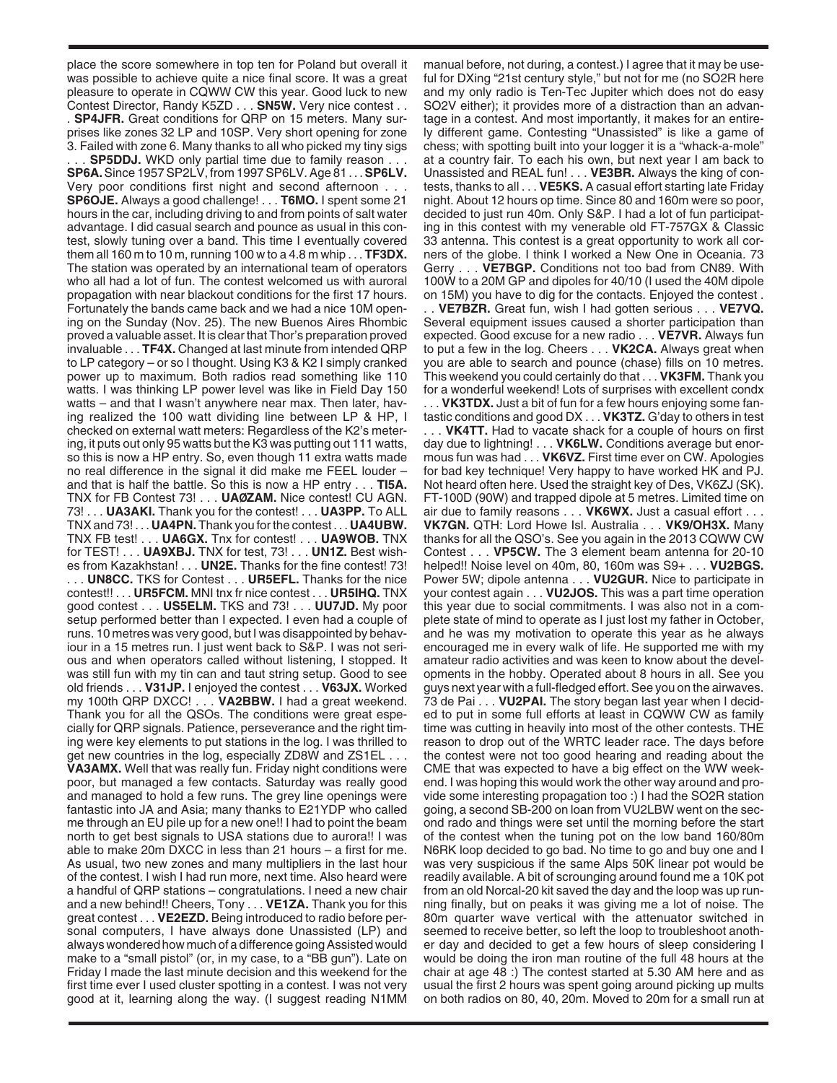place the score somewhere in top ten for Poland but overall it was possible to achieve quite a nice final score. It was a great pleasure to operate in CQWW CW this year. Good luck to new Contest Director, Randy K5ZD . . . **SN5W.** Very nice contest . . . **SP4JFR.** Great conditions for QRP on 15 meters. Many surprises like zones 32 LP and 10SP. Very short opening for zone 3. Failed with zone 6. Many thanks to all who picked my tiny sigs

. **SP5DDJ.** WKD only partial time due to family reason. **SP6A.**Since 1957 SP2LV, from 1997 SP6LV. Age 81 . . . **SP6LV.** Very poor conditions first night and second afternoon. **SP6OJE.** Always a good challenge! . . . **T6MO.** I spent some 21 hours in the car, including driving to and from points of salt water advantage. I did casual search and pounce as usual in this contest, slowly tuning over a band. This time I eventually covered them all 160 m to 10 m, running 100 w to a 4.8 m whip . . . **TF3DX.** The station was operated by an international team of operators who all had a lot of fun. The contest welcomed us with auroral propagation with near blackout conditions for the first 17 hours. Fortunately the bands came back and we had a nice 10M opening on the Sunday (Nov. 25). The new Buenos Aires Rhombic proved a valuable asset. It is clear that Thor's preparation proved invaluable . . . **TF4X.** Changed at last minute from intended QRP to LP category – or so I thought. Using K3 & K2 I simply cranked power up to maximum. Both radios read something like 110 watts. I was thinking LP power level was like in Field Day 150 watts – and that I wasn't anywhere near max. Then later, having realized the 100 watt dividing line between LP & HP, I checked on external watt meters: Regardless of the K2's metering, it puts out only 95 watts but the K3 was putting out 111 watts, so this is now a HP entry. So, even though 11 extra watts made no real difference in the signal it did make me FEEL louder – and that is half the battle. So this is now a HP entry . . . **TI5A.** TNX for FB Contest 73! . . . **UAØZAM.** Nice contest! CU AGN. 73! . . . **UA3AKI.** Thank you for the contest! . . . **UA3PP.** To ALL TNX and 73! . . . **UA4PN.** Thank you for the contest . . . **UA4UBW.** TNX FB test! . . . **UA6GX.** Tnx for contest! . . . **UA9WOB.** TNX for TEST! . . . **UA9XBJ.** TNX for test, 73! . . . **UN1Z.** Best wishes from Kazakhstan! . . . **UN2E.** Thanks for the fine contest! 73! . . . **UN8CC.** TKS for Contest . . . **UR5EFL.** Thanks for the nice contest!! . . . **UR5FCM.** MNI tnx fr nice contest . . . **UR5IHQ.** TNX good contest . . . **US5ELM.** TKS and 73! . . . **UU7JD.** My poor setup performed better than I expected. I even had a couple of runs. 10 metres was very good, but I was disappointed by behaviour in a 15 metres run. I just went back to S&P. I was not serious and when operators called without listening, I stopped. It was still fun with my tin can and taut string setup. Good to see old friends . . . **V31JP.** I enjoyed the contest . . . **V63JX.** Worked my 100th QRP DXCC! . . . **VA2BBW.** I had a great weekend. Thank you for all the QSOs. The conditions were great especially for QRP signals. Patience, perseverance and the right timing were key elements to put stations in the log. I was thrilled to get new countries in the log, especially ZD8W and ZS1EL . . . **VA3AMX.** Well that was really fun. Friday night conditions were poor, but managed a few contacts. Saturday was really good and managed to hold a few runs. The grey line openings were fantastic into JA and Asia; many thanks to E21YDP who called me through an EU pile up for a new one!! I had to point the beam north to get best signals to USA stations due to aurora!! I was able to make 20m DXCC in less than 21 hours – a first for me. As usual, two new zones and many multipliers in the last hour of the contest. I wish I had run more, next time. Also heard were a handful of QRP stations – congratulations. I need a new chair and a new behind!! Cheers, Tony . . . **VE1ZA.** Thank you for this great contest . . . **VE2EZD.** Being introduced to radio before personal computers, I have always done Unassisted (LP) and always wondered how much of a difference going Assisted would make to a "small pistol" (or, in my case, to a "BB gun"). Late on Friday I made the last minute decision and this weekend for the first time ever I used cluster spotting in a contest. I was not very good at it, learning along the way. (I suggest reading N1MM

manual before, not during, a contest.) I agree that it may be useful for DXing "21st century style," but not for me (no SO2R here and my only radio is Ten-Tec Jupiter which does not do easy SO2V either); it provides more of a distraction than an advantage in a contest. And most importantly, it makes for an entirely different game. Contesting "Unassisted" is like a game of chess; with spotting built into your logger it is a "whack-a-mole" at a country fair. To each his own, but next year I am back to Unassisted and REAL fun! . . . **VE3BR.** Always the king of contests, thanks to all . . . **VE5KS.** A casual effort starting late Friday night. About 12 hours op time. Since 80 and 160m were so poor, decided to just run 40m. Only S&P. I had a lot of fun participating in this contest with my venerable old FT-757GX & Classic 33 antenna. This contest is a great opportunity to work all corners of the globe. I think I worked a New One in Oceania. 73 Gerry . . . **VE7BGP.** Conditions not too bad from CN89. With 100W to a 20M GP and dipoles for 40/10 (I used the 40M dipole on 15M) you have to dig for the contacts. Enjoyed the contest .

. . **VE7BZR.** Great fun, wish I had gotten serious . . . **VE7VQ.** Several equipment issues caused a shorter participation than expected. Good excuse for a new radio . . . **VE7VR.** Always fun to put a few in the log. Cheers . . . **VK2CA.** Always great when you are able to search and pounce (chase) fills on 10 metres. This weekend you could certainly do that . . . **VK3FM.** Thank you for a wonderful weekend! Lots of surprises with excellent condx . . . **VK3TDX.** Just a bit of fun for a few hours enjoying some fantastic conditions and good DX . . . **VK3TZ.** G'day to others in test . . . **VK4TT.** Had to vacate shack for a couple of hours on first day due to lightning! . . . **VK6LW.** Conditions average but enormous fun was had . . . **VK6VZ.** First time ever on CW. Apologies for bad key technique! Very happy to have worked HK and PJ. Not heard often here. Used the straight key of Des, VK6ZJ (SK). FT-100D (90W) and trapped dipole at 5 metres. Limited time on air due to family reasons . . . **VK6WX.** Just a casual effort . . . **VK7GN.** QTH: Lord Howe Isl. Australia . . . **VK9/OH3X.** Many thanks for all the QSO's. See you again in the 2013 CQWW CW Contest . . . **VP5CW.** The 3 element beam antenna for 20-10 helped!! Noise level on 40m, 80, 160m was S9+ . . . **VU2BGS.** Power 5W; dipole antenna . . . **VU2GUR.** Nice to participate in your contest again . . . **VU2JOS.** This was a part time operation this year due to social commitments. I was also not in a complete state of mind to operate as I just lost my father in October, and he was my motivation to operate this year as he always encouraged me in every walk of life. He supported me with my amateur radio activities and was keen to know about the developments in the hobby. Operated about 8 hours in all. See you guys next year with a full-fledged effort. See you on the airwaves. 73 de Pai . . . **VU2PAI.** The story began last year when I decided to put in some full efforts at least in CQWW CW as family time was cutting in heavily into most of the other contests. THE reason to drop out of the WRTC leader race. The days before the contest were not too good hearing and reading about the CME that was expected to have a big effect on the WW weekend. I was hoping this would work the other way around and provide some interesting propagation too :) I had the SO2R station going, a second SB-200 on loan from VU2LBW went on the second rado and things were set until the morning before the start of the contest when the tuning pot on the low band 160/80m N6RK loop decided to go bad. No time to go and buy one and I was very suspicious if the same Alps 50K linear pot would be readily available. A bit of scrounging around found me a 10K pot from an old Norcal-20 kit saved the day and the loop was up running finally, but on peaks it was giving me a lot of noise. The 80m quarter wave vertical with the attenuator switched in seemed to receive better, so left the loop to troubleshoot another day and decided to get a few hours of sleep considering I would be doing the iron man routine of the full 48 hours at the chair at age 48 :) The contest started at 5.30 AM here and as usual the first 2 hours was spent going around picking up mults on both radios on 80, 40, 20m. Moved to 20m for a small run at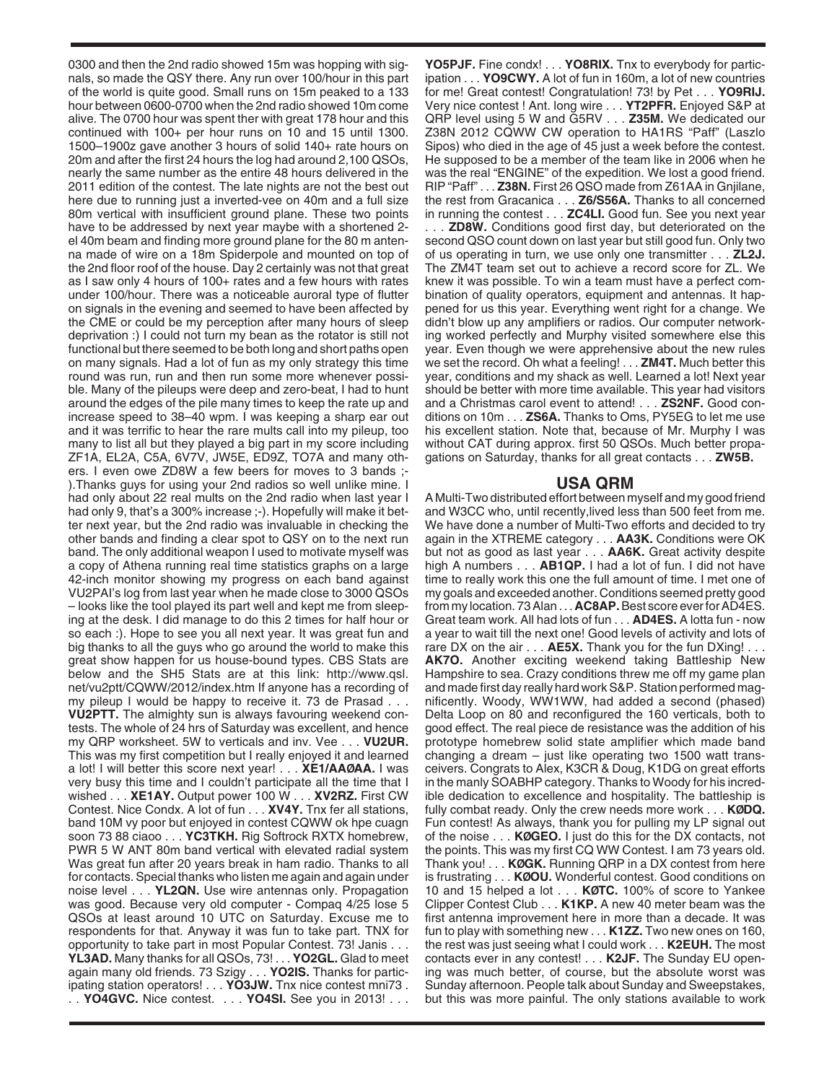0300 and then the 2nd radio showed 15m was hopping with signals, so made the QSY there. Any run over 100/hour in this part of the world is quite good. Small runs on 15m peaked to a 133 hour between 0600-0700 when the 2nd radio showed 10m come alive. The 0700 hour was spent ther with great 178 hour and this continued with 100+ per hour runs on 10 and 15 until 1300. 1500–1900z gave another 3 hours of solid 140+ rate hours on 20m and after the first 24 hours the log had around 2,100 QSOs, nearly the same number as the entire 48 hours delivered in the 2011 edition of the contest. The late nights are not the best out here due to running just a inverted-vee on 40m and a full size 80m vertical with insufficient ground plane. These two points have to be addressed by next year maybe with a shortened 2 el 40m beam and finding more ground plane for the 80 m antenna made of wire on a 18m Spiderpole and mounted on top of the 2nd floor roof of the house. Day 2 certainly was not that great as I saw only 4 hours of 100+ rates and a few hours with rates under 100/hour. There was a noticeable auroral type of flutter on signals in the evening and seemed to have been affected by the CME or could be my perception after many hours of sleep deprivation :) I could not turn my bean as the rotator is still not functional but there seemed to be both long and short paths open on many signals. Had a lot of fun as my only strategy this time round was run, run and then run some more whenever possible. Many of the pileups were deep and zero-beat, I had to hunt around the edges of the pile many times to keep the rate up and increase speed to 38–40 wpm. I was keeping a sharp ear out and it was terrific to hear the rare mults call into my pileup, too many to list all but they played a big part in my score including ZF1A, EL2A, C5A, 6V7V, JW5E, ED9Z, TO7A and many others. I even owe ZD8W a few beers for moves to 3 bands ;- ).Thanks guys for using your 2nd radios so well unlike mine. I had only about 22 real mults on the 2nd radio when last year I had only 9, that's a 300% increase ;-). Hopefully will make it better next year, but the 2nd radio was invaluable in checking the other bands and finding a clear spot to QSY on to the next run band. The only additional weapon I used to motivate myself was a copy of Athena running real time statistics graphs on a large 42-inch monitor showing my progress on each band against VU2PAI's log from last year when he made close to 3000 QSOs – looks like the tool played its part well and kept me from sleeping at the desk. I did manage to do this 2 times for half hour or so each :). Hope to see you all next year. It was great fun and big thanks to all the guys who go around the world to make this great show happen for us house-bound types. CBS Stats are below and the SH5 Stats are at this link: http://www.qsl. net/vu2ptt/CQWW/2012/index.htm If anyone has a recording of my pileup I would be happy to receive it. 73 de Prasad . . . **VU2PTT.** The almighty sun is always favouring weekend contests. The whole of 24 hrs of Saturday was excellent, and hence my QRP worksheet. 5W to verticals and inv. Vee . . . **VU2UR.** This was my first competition but I really enjoyed it and learned a lot! I will better this score next year! . . . **XE1/AAØAA.** I was very busy this time and I couldn't participate all the time that I wished . . . **XE1AY.** Output power 100 W . . . **XV2RZ.** First CW Contest. Nice Condx. A lot of fun . . . **XV4Y.** Tnx fer all stations, band 10M vy poor but enjoyed in contest CQWW ok hpe cuagn soon 73 88 ciaoo . . . **YC3TKH.** Rig Softrock RXTX homebrew, PWR 5 W ANT 80m band vertical with elevated radial system Was great fun after 20 years break in ham radio. Thanks to all for contacts. Special thanks who listen me again and again under noise level . . . **YL2QN.** Use wire antennas only. Propagation was good. Because very old computer - Compaq 4/25 lose 5 QSOs at least around 10 UTC on Saturday. Excuse me to respondents for that. Anyway it was fun to take part. TNX for opportunity to take part in most Popular Contest. 73! Janis . . . **YL3AD.** Many thanks for all QSOs, 73! . . . **YO2GL.** Glad to meet again many old friends. 73 Szigy . . . **YO2IS.** Thanks for participating station operators! . . . **YO3JW.** Tnx nice contest mni73 . . . **YO4GVC.** Nice contest. . . . **YO4SI.** See you in 2013! . . .

**YO5PJF.** Fine condx! . . . **YO8RIX.** Tnx to everybody for participation . . . **YO9CWY.** A lot of fun in 160m, a lot of new countries for me! Great contest! Congratulation! 73! by Pet . . . **YO9RIJ.** Very nice contest ! Ant. long wire . . . **YT2PFR.** Enjoyed S&P at QRP level using 5 W and G5RV . . . **Z35M.** We dedicated our Z38N 2012 CQWW CW operation to HA1RS "Paff" (Laszlo Sipos) who died in the age of 45 just a week before the contest. He supposed to be a member of the team like in 2006 when he was the real "ENGINE" of the expedition. We lost a good friend. RIP "Paff" . . . **Z38N.** First 26 QSO made from Z61AA in Gnjilane, the rest from Gracanica . . . **Z6/S56A.** Thanks to all concerned in running the contest . . . **ZC4LI.** Good fun. See you next year . . . **ZD8W.** Conditions good first day, but deteriorated on the second QSO count down on last year but still good fun. Only two of us operating in turn, we use only one transmitter . . . **ZL2J.** The ZM4T team set out to achieve a record score for ZL. We knew it was possible. To win a team must have a perfect combination of quality operators, equipment and antennas. It happened for us this year. Everything went right for a change. We didn't blow up any amplifiers or radios. Our computer networking worked perfectly and Murphy visited somewhere else this year. Even though we were apprehensive about the new rules we set the record. Oh what a feeling! . . . **ZM4T.** Much better this year, conditions and my shack as well. Learned a lot! Next year should be better with more time available. This year had visitors and a Christmas carol event to attend! . . . **ZS2NF.** Good conditions on 10m . . . **ZS6A.** Thanks to Oms, PY5EG to let me use his excellent station. Note that, because of Mr. Murphy I was without CAT during approx. first 50 QSOs. Much better propagations on Saturday, thanks for all great contacts . . . **ZW5B.**

## **USA QRM**

A Multi-Two distributed effort between myself and my good friend and W3CC who, until recently,lived less than 500 feet from me. We have done a number of Multi-Two efforts and decided to try again in the XTREME category . . . **AA3K.** Conditions were OK but not as good as last year . . . **AA6K.** Great activity despite high A numbers . . . **AB1QP.** I had a lot of fun. I did not have time to really work this one the full amount of time. I met one of my goals and exceeded another. Conditions seemed pretty good from my location. 73 Alan . . . **AC8AP.**Best score ever for AD4ES. Great team work. All had lots of fun . . . **AD4ES.** A lotta fun - now a year to wait till the next one! Good levels of activity and lots of rare DX on the air . . . **AE5X.** Thank you for the fun DXing! . . . **AK7O.** Another exciting weekend taking Battleship New Hampshire to sea. Crazy conditions threw me off my game plan and made first day really hard work S&P. Station performed magnificently. Woody, WW1WW, had added a second (phased) Delta Loop on 80 and reconfigured the 160 verticals, both to good effect. The real piece de resistance was the addition of his prototype homebrew solid state amplifier which made band changing a dream – just like operating two 1500 watt transceivers. Congrats to Alex, K3CR & Doug, K1DG on great efforts in the manly SOABHP category. Thanks to Woody for his incredible dedication to excellence and hospitality. The battleship is fully combat ready. Only the crew needs more work . . . **KØDQ.** Fun contest! As always, thank you for pulling my LP signal out of the noise . . . **KØGEO.** I just do this for the DX contacts, not the points. This was my first CQ WW Contest. I am 73 years old. Thank you! . . . **KØGK.** Running QRP in a DX contest from here is frustrating . . . **KØOU.** Wonderful contest. Good conditions on 10 and 15 helped a lot . . . **KØTC.** 100% of score to Yankee Clipper Contest Club . . . **K1KP.** A new 40 meter beam was the first antenna improvement here in more than a decade. It was fun to play with something new . . . **K1ZZ.** Two new ones on 160, the rest was just seeing what I could work . . . **K2EUH.** The most contacts ever in any contest! . . . **K2JF.** The Sunday EU opening was much better, of course, but the absolute worst was Sunday afternoon. People talk about Sunday and Sweepstakes, but this was more painful. The only stations available to work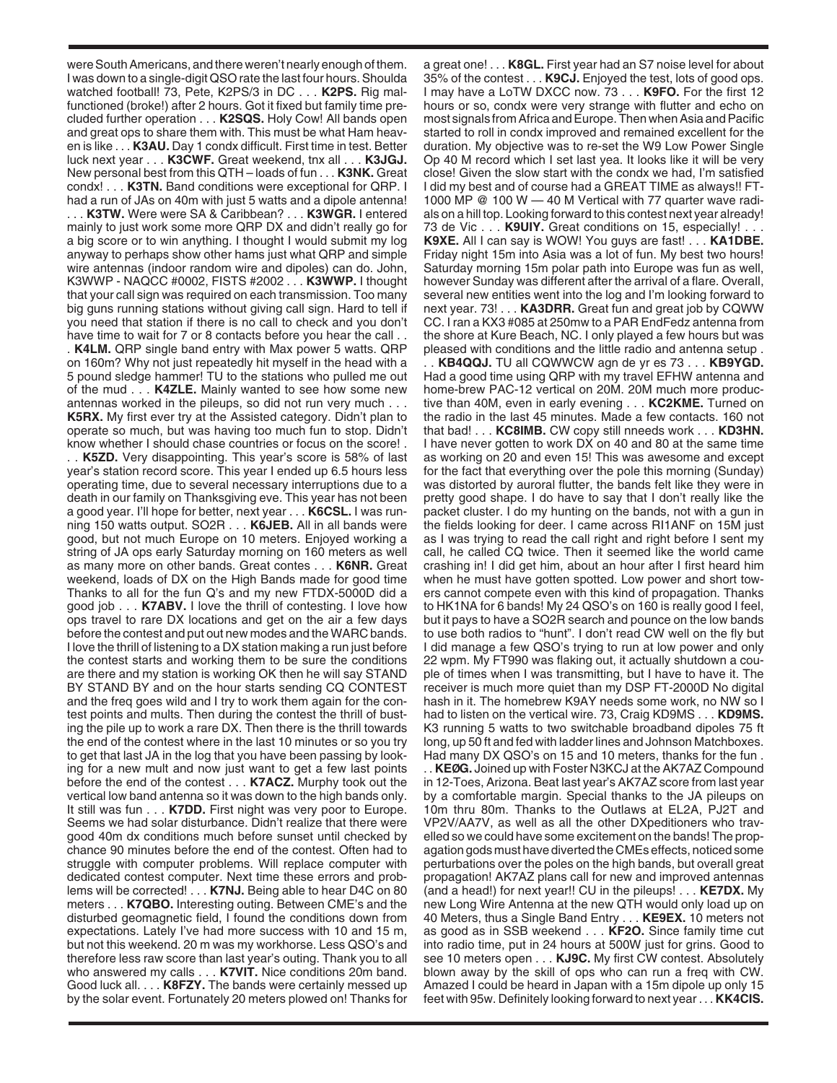were South Americans, and there weren't nearly enough of them. I was down to a single-digit QSO rate the last four hours. Shoulda watched football! 73, Pete, K2PS/3 in DC . . . **K2PS.** Rig malfunctioned (broke!) after 2 hours. Got it fixed but family time precluded further operation . . . **K2SQS.** Holy Cow! All bands open and great ops to share them with. This must be what Ham heaven is like . . . **K3AU.** Day 1 condx difficult. First time in test. Better luck next year . . . **K3CWF.** Great weekend, tnx all . . . **K3JGJ.** New personal best from this QTH – loads of fun . . . **K3NK.** Great condx! . . . **K3TN.** Band conditions were exceptional for QRP. I had a run of JAs on 40m with just 5 watts and a dipole antenna!

. . . **K3TW.** Were were SA & Caribbean? . . . **K3WGR.** I entered mainly to just work some more QRP DX and didn't really go for a big score or to win anything. I thought I would submit my log anyway to perhaps show other hams just what QRP and simple wire antennas (indoor random wire and dipoles) can do. John, K3WWP - NAQCC #0002, FISTS #2002 . . . **K3WWP.** I thought that your call sign was required on each transmission. Too many big guns running stations without giving call sign. Hard to tell if you need that station if there is no call to check and you don't have time to wait for 7 or 8 contacts before you hear the call.

. **K4LM.** QRP single band entry with Max power 5 watts. QRP on 160m? Why not just repeatedly hit myself in the head with a 5 pound sledge hammer! TU to the stations who pulled me out of the mud . . . **K4ZLE.** Mainly wanted to see how some new antennas worked in the pileups, so did not run very much . . . **K5RX.** My first ever try at the Assisted category. Didn't plan to operate so much, but was having too much fun to stop. Didn't know whether I should chase countries or focus on the score! . . . **K5ZD.** Very disappointing. This year's score is 58% of last year's station record score. This year I ended up 6.5 hours less operating time, due to several necessary interruptions due to a death in our family on Thanksgiving eve. This year has not been a good year. I'll hope for better, next year . . . **K6CSL.** I was running 150 watts output. SO2R . . . **K6JEB.** All in all bands were good, but not much Europe on 10 meters. Enjoyed working a string of JA ops early Saturday morning on 160 meters as well as many more on other bands. Great contes . . . **K6NR.** Great weekend, loads of DX on the High Bands made for good time Thanks to all for the fun Q's and my new FTDX-5000D did a good job . . . **K7ABV.** I love the thrill of contesting. I love how ops travel to rare DX locations and get on the air a few days before the contest and put out new modes and the WARC bands. I love the thrill of listening to a DX station making a run just before the contest starts and working them to be sure the conditions are there and my station is working OK then he will say STAND BY STAND BY and on the hour starts sending CQ CONTEST and the freq goes wild and I try to work them again for the contest points and mults. Then during the contest the thrill of busting the pile up to work a rare DX. Then there is the thrill towards the end of the contest where in the last 10 minutes or so you try to get that last JA in the log that you have been passing by looking for a new mult and now just want to get a few last points before the end of the contest . . . **K7ACZ.** Murphy took out the vertical low band antenna so it was down to the high bands only. It still was fun . . . **K7DD.** First night was very poor to Europe. Seems we had solar disturbance. Didn't realize that there were good 40m dx conditions much before sunset until checked by chance 90 minutes before the end of the contest. Often had to struggle with computer problems. Will replace computer with dedicated contest computer. Next time these errors and problems will be corrected! . . . **K7NJ.** Being able to hear D4C on 80 meters . . . **K7QBO.** Interesting outing. Between CME's and the disturbed geomagnetic field, I found the conditions down from expectations. Lately I've had more success with 10 and 15 m, but not this weekend. 20 m was my workhorse. Less QSO's and therefore less raw score than last year's outing. Thank you to all who answered my calls . . . **K7VIT.** Nice conditions 20m band. Good luck all. . . . **K8FZY.** The bands were certainly messed up by the solar event. Fortunately 20 meters plowed on! Thanks for

a great one! . . . **K8GL.** First year had an S7 noise level for about 35% of the contest . . . **K9CJ.** Enjoyed the test, lots of good ops. I may have a LoTW DXCC now. 73 . . . **K9FO.** For the first 12 hours or so, condx were very strange with flutter and echo on most signals from Africa and Europe. Then when Asia and Pacific started to roll in condx improved and remained excellent for the duration. My objective was to re-set the W9 Low Power Single Op 40 M record which I set last yea. It looks like it will be very close! Given the slow start with the condx we had, I'm satisfied I did my best and of course had a GREAT TIME as always!! FT-1000 MP @ 100 W — 40 M Vertical with 77 quarter wave radials on a hill top. Looking forward to this contest next year already! 73 de Vic . . . **K9UIY.** Great conditions on 15, especially! . . . **K9XE.** All I can say is WOW! You guys are fast! . . . **KA1DBE.** Friday night 15m into Asia was a lot of fun. My best two hours! Saturday morning 15m polar path into Europe was fun as well, however Sunday was different after the arrival of a flare. Overall, several new entities went into the log and I'm looking forward to next year. 73! . . . **KA3DRR.** Great fun and great job by CQWW CC. I ran a KX3 #085 at 250mw to a PAR EndFedz antenna from the shore at Kure Beach, NC. I only played a few hours but was pleased with conditions and the little radio and antenna setup .

. . **KB4QQJ.** TU all CQWWCW agn de yr es 73 . . . **KB9YGD.** Had a good time using QRP with my travel EFHW antenna and home-brew PAC-12 vertical on 20M. 20M much more productive than 40M, even in early evening . . . **KC2KME.** Turned on the radio in the last 45 minutes. Made a few contacts. 160 not that bad! . . . **KC8IMB.** CW copy still nneeds work . . . **KD3HN.** I have never gotten to work DX on 40 and 80 at the same time as working on 20 and even 15! This was awesome and except for the fact that everything over the pole this morning (Sunday) was distorted by auroral flutter, the bands felt like they were in pretty good shape. I do have to say that I don't really like the packet cluster. I do my hunting on the bands, not with a gun in the fields looking for deer. I came across RI1ANF on 15M just as I was trying to read the call right and right before I sent my call, he called CQ twice. Then it seemed like the world came crashing in! I did get him, about an hour after I first heard him when he must have gotten spotted. Low power and short towers cannot compete even with this kind of propagation. Thanks to HK1NA for 6 bands! My 24 QSO's on 160 is really good I feel, but it pays to have a SO2R search and pounce on the low bands to use both radios to "hunt". I don't read CW well on the fly but I did manage a few QSO's trying to run at low power and only 22 wpm. My FT990 was flaking out, it actually shutdown a couple of times when I was transmitting, but I have to have it. The receiver is much more quiet than my DSP FT-2000D No digital hash in it. The homebrew K9AY needs some work, no NW so I had to listen on the vertical wire. 73, Craig KD9MS . . . **KD9MS.** K3 running 5 watts to two switchable broadband dipoles 75 ft long, up 50 ft and fed with ladder lines and Johnson Matchboxes. Had many DX QSO's on 15 and 10 meters, thanks for the fun .

. . **KEØG.** Joined up with Foster N3KCJ at the AK7AZ Compound in 12-Toes, Arizona. Beat last year's AK7AZ score from last year by a comfortable margin. Special thanks to the JA pileups on 10m thru 80m. Thanks to the Outlaws at EL2A, PJ2T and VP2V/AA7V, as well as all the other DXpeditioners who travelled so we could have some excitement on the bands! The propagation gods must have diverted the CMEs effects, noticed some perturbations over the poles on the high bands, but overall great propagation! AK7AZ plans call for new and improved antennas (and a head!) for next year!! CU in the pileups! . . . **KE7DX.** My new Long Wire Antenna at the new QTH would only load up on 40 Meters, thus a Single Band Entry . . . **KE9EX.** 10 meters not as good as in SSB weekend . . . **KF2O.** Since family time cut into radio time, put in 24 hours at 500W just for grins. Good to see 10 meters open . . . **KJ9C.** My first CW contest. Absolutely blown away by the skill of ops who can run a freq with CW. Amazed I could be heard in Japan with a 15m dipole up only 15 feet with 95w. Definitely looking forward to next year . . . **KK4CIS.**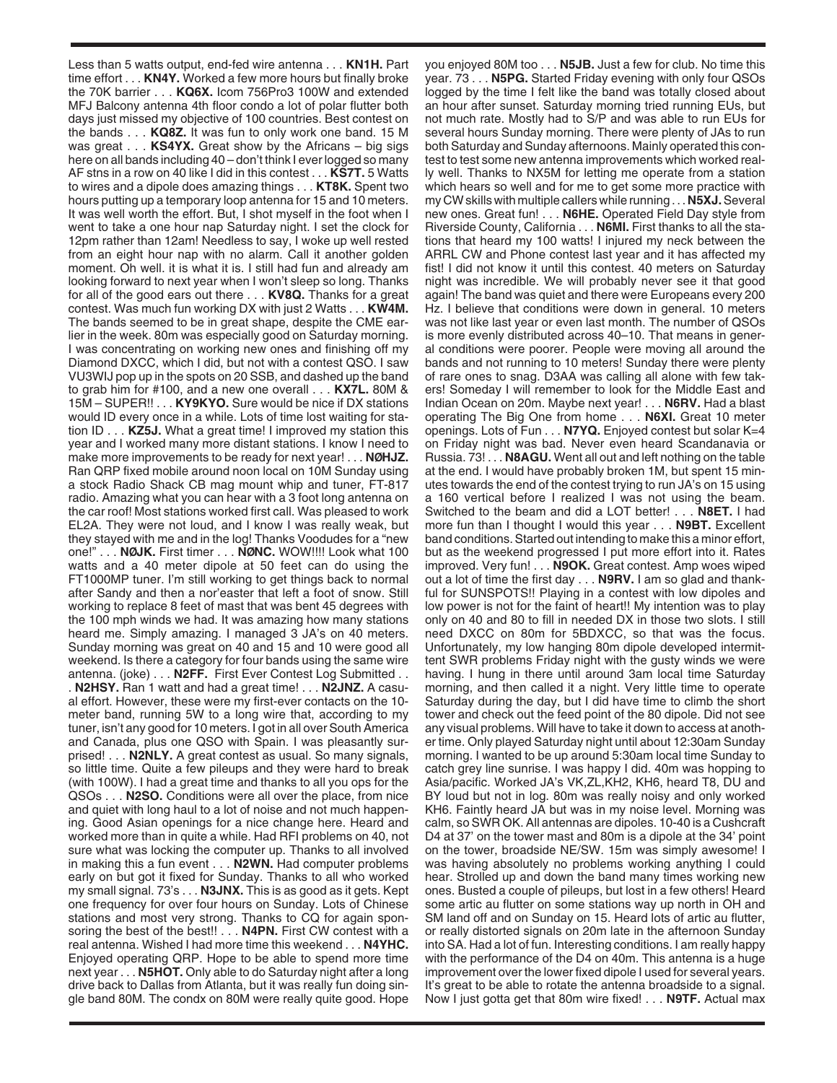Less than 5 watts output, end-fed wire antenna . . . **KN1H.** Part time effort . . . **KN4Y.** Worked a few more hours but finally broke the 70K barrier . . . **KQ6X.** Icom 756Pro3 100W and extended MFJ Balcony antenna 4th floor condo a lot of polar flutter both days just missed my objective of 100 countries. Best contest on the bands . . . **KQ8Z.** It was fun to only work one band. 15 M was great . . . **KS4YX.** Great show by the Africans – big sigs here on all bands including 40 – don't think I ever logged so many AF stns in a row on 40 like I did in this contest . . . **KS7T.** 5 Watts to wires and a dipole does amazing things . . . **KT8K.** Spent two hours putting up a temporary loop antenna for 15 and 10 meters. It was well worth the effort. But, I shot myself in the foot when I went to take a one hour nap Saturday night. I set the clock for 12pm rather than 12am! Needless to say, I woke up well rested from an eight hour nap with no alarm. Call it another golden moment. Oh well. it is what it is. I still had fun and already am looking forward to next year when I won't sleep so long. Thanks for all of the good ears out there . . . **KV8Q.** Thanks for a great contest. Was much fun working DX with just 2 Watts . . . **KW4M.** The bands seemed to be in great shape, despite the CME earlier in the week. 80m was especially good on Saturday morning. I was concentrating on working new ones and finishing off my Diamond DXCC, which I did, but not with a contest QSO. I saw VU3WIJ pop up in the spots on 20 SSB, and dashed up the band to grab him for #100, and a new one overall . . . **KX7L.** 80M & 15M – SUPER!! . . . **KY9KYO.** Sure would be nice if DX stations would ID every once in a while. Lots of time lost waiting for station ID . . . **KZ5J.** What a great time! I improved my station this year and I worked many more distant stations. I know I need to make more improvements to be ready for next year! . . . **NØHJZ.** Ran QRP fixed mobile around noon local on 10M Sunday using a stock Radio Shack CB mag mount whip and tuner, FT-817 radio. Amazing what you can hear with a 3 foot long antenna on the car roof! Most stations worked first call. Was pleased to work EL2A. They were not loud, and I know I was really weak, but they stayed with me and in the log! Thanks Voodudes for a "new one!" . . . **NØJK.** First timer . . . **NØNC.** WOW!!!! Look what 100 watts and a 40 meter dipole at 50 feet can do using the FT1000MP tuner. I'm still working to get things back to normal after Sandy and then a nor'easter that left a foot of snow. Still working to replace 8 feet of mast that was bent 45 degrees with the 100 mph winds we had. It was amazing how many stations heard me. Simply amazing. I managed 3 JA's on 40 meters. Sunday morning was great on 40 and 15 and 10 were good all weekend. Is there a category for four bands using the same wire antenna. (joke) . . . **N2FF.** First Ever Contest Log Submitted . . . **N2HSY.** Ran 1 watt and had a great time! . . . **N2JNZ.** A casual effort. However, these were my first-ever contacts on the 10 meter band, running 5W to a long wire that, according to my tuner, isn't any good for 10 meters. I got in all over South America and Canada, plus one QSO with Spain. I was pleasantly surprised! . . . **N2NLY.** A great contest as usual. So many signals, so little time. Quite a few pileups and they were hard to break (with 100W). I had a great time and thanks to all you ops for the QSOs . . . **N2SO.** Conditions were all over the place, from nice and quiet with long haul to a lot of noise and not much happening. Good Asian openings for a nice change here. Heard and worked more than in quite a while. Had RFI problems on 40, not sure what was locking the computer up. Thanks to all involved in making this a fun event . . . **N2WN.** Had computer problems early on but got it fixed for Sunday. Thanks to all who worked my small signal. 73's . . . **N3JNX.** This is as good as it gets. Kept one frequency for over four hours on Sunday. Lots of Chinese stations and most very strong. Thanks to CQ for again sponsoring the best of the best!! . . . **N4PN.** First CW contest with a real antenna. Wished I had more time this weekend . . . **N4YHC.** Enjoyed operating QRP. Hope to be able to spend more time next year . . . **N5HOT.** Only able to do Saturday night after a long drive back to Dallas from Atlanta, but it was really fun doing single band 80M. The condx on 80M were really quite good. Hope

you enjoyed 80M too . . . **N5JB.** Just a few for club. No time this year. 73 . . . **N5PG.** Started Friday evening with only four QSOs logged by the time I felt like the band was totally closed about an hour after sunset. Saturday morning tried running EUs, but not much rate. Mostly had to S/P and was able to run EUs for several hours Sunday morning. There were plenty of JAs to run both Saturday and Sunday afternoons. Mainly operated this contest to test some new antenna improvements which worked really well. Thanks to NX5M for letting me operate from a station which hears so well and for me to get some more practice with my CW skills with multiple callers while running . . . **N5XJ.**Several new ones. Great fun! . . . **N6HE.** Operated Field Day style from Riverside County, California . . . **N6MI.** First thanks to all the stations that heard my 100 watts! I injured my neck between the ARRL CW and Phone contest last year and it has affected my fist! I did not know it until this contest. 40 meters on Saturday night was incredible. We will probably never see it that good again! The band was quiet and there were Europeans every 200 Hz. I believe that conditions were down in general. 10 meters was not like last year or even last month. The number of QSOs is more evenly distributed across 40–10. That means in general conditions were poorer. People were moving all around the bands and not running to 10 meters! Sunday there were plenty of rare ones to snag. D3AA was calling all alone with few takers! Someday I will remember to look for the Middle East and Indian Ocean on 20m. Maybe next year! . . . **N6RV.** Had a blast operating The Big One from home . . . **N6XI.** Great 10 meter openings. Lots of Fun . . . **N7YQ.** Enjoyed contest but solar K=4 on Friday night was bad. Never even heard Scandanavia or Russia. 73! . . . **N8AGU.** Went all out and left nothing on the table at the end. I would have probably broken 1M, but spent 15 minutes towards the end of the contest trying to run JA's on 15 using a 160 vertical before I realized I was not using the beam. Switched to the beam and did a LOT better! . . . **N8ET.** I had more fun than I thought I would this year . . . **N9BT.** Excellent band conditions. Started out intending to make this a minor effort, but as the weekend progressed I put more effort into it. Rates improved. Very fun! . . . **N9OK.** Great contest. Amp woes wiped out a lot of time the first day . . . **N9RV.** I am so glad and thankful for SUNSPOTS!! Playing in a contest with low dipoles and low power is not for the faint of heart!! My intention was to play only on 40 and 80 to fill in needed DX in those two slots. I still need DXCC on 80m for 5BDXCC, so that was the focus. Unfortunately, my low hanging 80m dipole developed intermittent SWR problems Friday night with the gusty winds we were having. I hung in there until around 3am local time Saturday morning, and then called it a night. Very little time to operate Saturday during the day, but I did have time to climb the short tower and check out the feed point of the 80 dipole. Did not see any visual problems. Will have to take it down to access at another time. Only played Saturday night until about 12:30am Sunday morning. I wanted to be up around 5:30am local time Sunday to catch grey line sunrise. I was happy I did. 40m was hopping to Asia/pacific. Worked JA's VK,ZL,KH2, KH6, heard T8, DU and BY loud but not in log. 80m was really noisy and only worked KH6. Faintly heard JA but was in my noise level. Morning was calm, so SWR OK. All antennas are dipoles. 10-40 is a Cushcraft D4 at 37' on the tower mast and 80m is a dipole at the 34' point on the tower, broadside NE/SW. 15m was simply awesome! I was having absolutely no problems working anything I could hear. Strolled up and down the band many times working new ones. Busted a couple of pileups, but lost in a few others! Heard some artic au flutter on some stations way up north in OH and SM land off and on Sunday on 15. Heard lots of artic au flutter, or really distorted signals on 20m late in the afternoon Sunday into SA. Had a lot of fun. Interesting conditions. I am really happy with the performance of the D4 on 40m. This antenna is a huge improvement over the lower fixed dipole I used for several years. It's great to be able to rotate the antenna broadside to a signal. Now I just gotta get that 80m wire fixed! . . . **N9TF.** Actual max